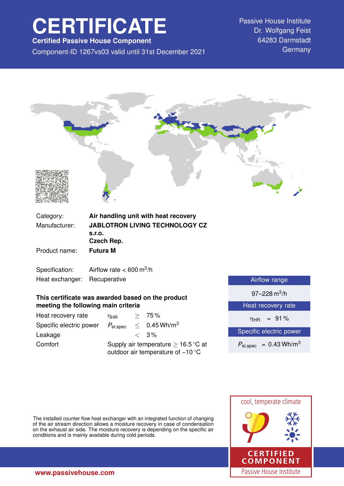# **CERTIFICATE**

**Certified Passive House Component**

Component-ID 1267vs03 valid until 31st December 2021 Germany

Passive House Institute Dr. Wolfgang Feist 64283 Darmstadt



**meeting the following main criteria**

| Heat recovery rate      | $n_{HR}$                                                                                      |  | > 75%                      |
|-------------------------|-----------------------------------------------------------------------------------------------|--|----------------------------|
| Specific electric power | $P_{\mathsf{el,spec}}$                                                                        |  | $< 0.45$ Wh/m <sup>3</sup> |
| Leakage                 |                                                                                               |  | $\langle 3\%$              |
| Comfort                 | Supply air temperature $\geq 16.5^{\circ}$ C at<br>outdoor air temperature of $-10^{\circ}$ C |  |                            |

| Heat recovery rate |  |
|--------------------|--|
|                    |  |

 $η_{HR}$  = 91%

Specific electric power

 $P_{el,spec}$  = 0.43 Wh/m<sup>3</sup>

The installed counter flow heat exchanger with an integrated function of changing of the air stream direction allows a moisture recovery in case of condensation on the exhaust air side. The moisture recovery is depending on the specific air conditions and is mainly available during cold periods.

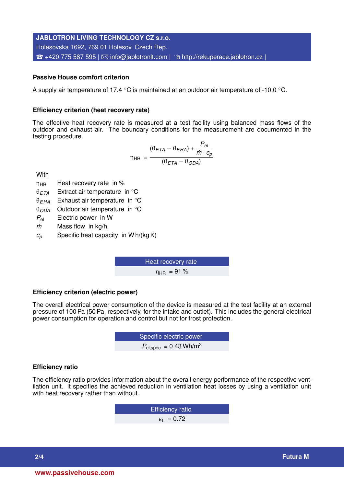# **JABLOTRON LIVING TECHNOLOGY CZ s.r.o.** Holesovska 1692, 769 01 Holesov, Czech Rep.  $\hat{\mathbf{B}}$  +420 775 587 595 |  $\boxtimes$  [info@jablotronlt.com](mailto:info@jablotronlt.com) |  $\hat{\mathbf{B}}$  <http://rekuperace.jablotron.cz> |

# **Passive House comfort criterion**

A supply air temperature of 17.4 ◦C is maintained at an outdoor air temperature of -10.0 ◦C.

# **Efficiency criterion (heat recovery rate)**

The effective heat recovery rate is measured at a test facility using balanced mass flows of the outdoor and exhaust air. The boundary conditions for the measurement are documented in the testing procedure.

$$
\eta_{HR} = \frac{(\theta_{ETA} - \theta_{EHA}) + \frac{P_{el}}{\dot{m} \cdot c_p}}{(\theta_{ETA} - \theta_{ODA})}
$$

**With** 

 $n<sub>HR</sub>$  Heat recovery rate in %

 $\theta$ <sub>*ETA*</sub> Extract air temperature in  $\degree$ C

θ*EHA* Exhaust air temperature in ◦C

θ*ODA* Outdoor air temperature in ◦C

*P*el Electric power in W

*m˙* Mass flow in kg/h

*c<sup>p</sup>* Specific heat capacity in W h/(kg K)

Heat recovery rate  $\eta_{HR}$  = 91%

# **Efficiency criterion (electric power)**

The overall electrical power consumption of the device is measured at the test facility at an external pressure of 100 Pa (50 Pa, respectively, for the intake and outlet). This includes the general electrical power consumption for operation and control but not for frost protection.

**EXECUTE:** Specific electric power  

$$
P_{\text{el,spec}} = 0.43 \text{ Wh/m}^3
$$

# **Efficiency ratio**

The efficiency ratio provides information about the overall energy performance of the respective ventilation unit. It specifies the achieved reduction in ventilation heat losses by using a ventilation unit with heat recovery rather than without.

> Efficiency ratio  $\epsilon_1$  = 0.72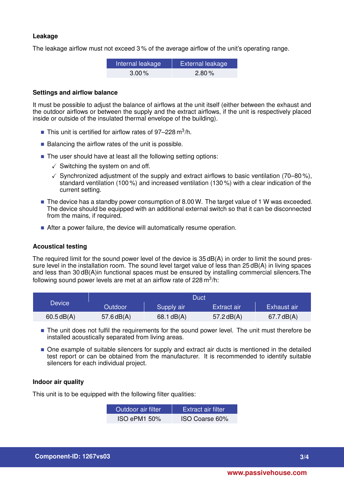# **Leakage**

The leakage airflow must not exceed 3 % of the average airflow of the unit's operating range.

| Internal leakage | External leakage |
|------------------|------------------|
| $3.00\%$         | $2.80\%$         |

#### **Settings and airflow balance**

It must be possible to adjust the balance of airflows at the unit itself (either between the exhaust and the outdoor airflows or between the supply and the extract airflows, if the unit is respectively placed inside or outside of the insulated thermal envelope of the building).

- This unit is certified for airflow rates of  $97-228$  m<sup>3</sup>/h.
- $\blacksquare$  Balancing the airflow rates of the unit is possible.
- The user should have at least all the following setting options:
	- $\checkmark$  Switching the system on and off.
	- $\checkmark$  Synchronized adjustment of the supply and extract airflows to basic ventilation (70–80%), standard ventilation (100 %) and increased ventilation (130 %) with a clear indication of the current setting.
- $\blacksquare$  The device has a standby power consumption of 8.00 W. The target value of 1 W was exceeded. The device should be equipped with an additional external switch so that it can be disconnected from the mains, if required.
- After a power failure, the device will automatically resume operation.

# **Acoustical testing**

The required limit for the sound power level of the device is 35 dB(A) in order to limit the sound pressure level in the installation room. The sound level target value of less than 25 dB(A) in living spaces and less than 30 dB(A)in functional spaces must be ensured by installing commercial silencers.The following sound power levels are met at an airflow rate of 228 m $^3$ /h:

|           | Duct           |                        |              |                        |
|-----------|----------------|------------------------|--------------|------------------------|
| Device    | <b>Outdoor</b> | Supply air             | Extract air  | Exhaust air            |
| 60.5dB(A) | 57.6 $dB(A)$   | $68.1 \, \text{dB(A)}$ | 57.2 $dB(A)$ | $67.7 \, \text{dB(A)}$ |

- The unit does not fulfil the requirements for the sound power level. The unit must therefore be installed acoustically separated from living areas.
- $\blacksquare$  One example of suitable silencers for supply and extract air ducts is mentioned in the detailed test report or can be obtained from the manufacturer. It is recommended to identify suitable silencers for each individual project.

# **Indoor air quality**

This unit is to be equipped with the following filter qualities:

| Outdoor air filter. | <b>Extract air filter</b> |
|---------------------|---------------------------|
| <b>ISO ePM1 50%</b> | ISO Coarse 60%            |